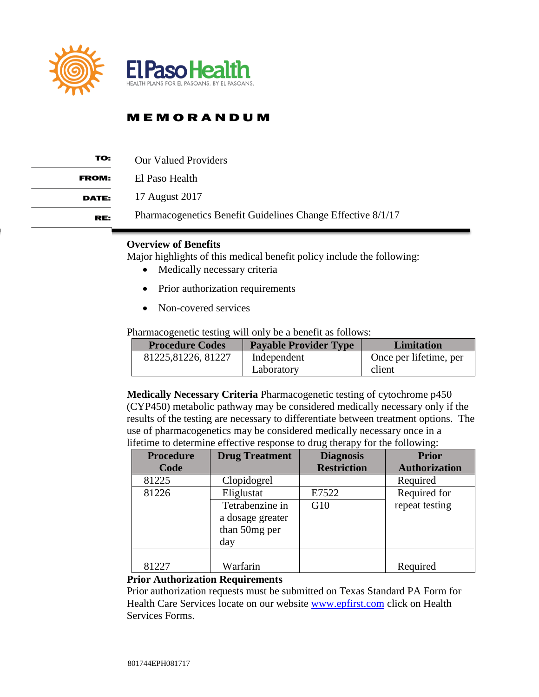

| TO:          | <b>Our Valued Providers</b>                                 |
|--------------|-------------------------------------------------------------|
| <b>FROM:</b> | El Paso Health                                              |
| <b>DATE:</b> | 17 August 2017                                              |
| RE:          | Pharmacogenetics Benefit Guidelines Change Effective 8/1/17 |

### **Overview of Benefits**

Major highlights of this medical benefit policy include the following:

- Medically necessary criteria
- Prior authorization requirements
- Non-covered services

Pharmacogenetic testing will only be a benefit as follows:

| <b>Procedure Codes</b> | <b>Payable Provider Type</b> | <b>Limitation</b>      |
|------------------------|------------------------------|------------------------|
| 81225, 81226, 81227    | Independent                  | Once per lifetime, per |
|                        | Laboratory                   | client                 |

**Medically Necessary Criteria** Pharmacogenetic testing of cytochrome p450 (CYP450) metabolic pathway may be considered medically necessary only if the results of the testing are necessary to differentiate between treatment options. The use of pharmacogenetics may be considered medically necessary once in a lifetime to determine effective response to drug therapy for the following:

| <b>Procedure</b> | <b>Drug Treatment</b> | <b>Diagnosis</b>   | <b>Prior</b>         |
|------------------|-----------------------|--------------------|----------------------|
| Code             |                       | <b>Restriction</b> | <b>Authorization</b> |
| 81225            | Clopidogrel           |                    | Required             |
| 81226            | Eliglustat            | E7522              | Required for         |
|                  | Tetrabenzine in       | G10                | repeat testing       |
|                  | a dosage greater      |                    |                      |
|                  | than 50mg per         |                    |                      |
|                  | day                   |                    |                      |
|                  |                       |                    |                      |
| 81227            | Warfarin              |                    | Required             |

#### **Prior Authorization Requirements**

Prior authorization requests must be submitted on Texas Standard PA Form for Health Care Services locate on our website [www.epfirst.com](http://www.epfirst.com/) click on Health Services Forms.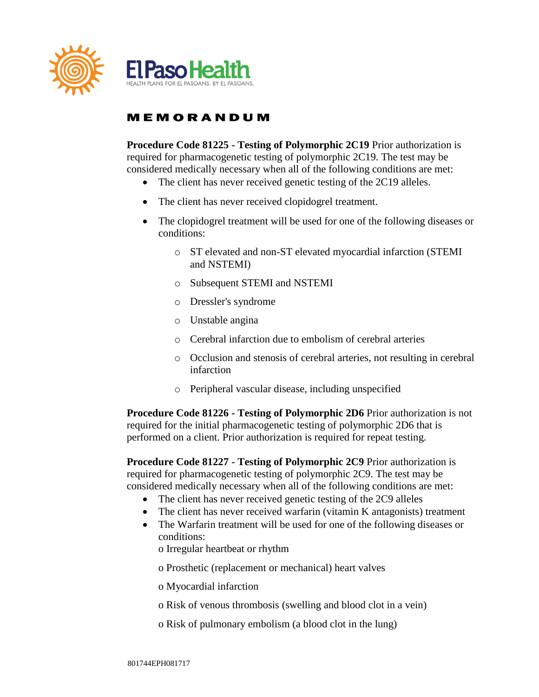

**Procedure Code 81225 - Testing of Polymorphic 2C19** Prior authorization is required for pharmacogenetic testing of polymorphic 2C19. The test may be considered medically necessary when all of the following conditions are met:

- The client has never received genetic testing of the 2C19 alleles.
- The client has never received clopidogrel treatment.
- The clopidogrel treatment will be used for one of the following diseases or conditions:
	- o ST elevated and non-ST elevated myocardial infarction (STEMI and NSTEMI)
	- o Subsequent STEMI and NSTEMI
	- o Dressler's syndrome
	- o Unstable angina
	- o Cerebral infarction due to embolism of cerebral arteries
	- o Occlusion and stenosis of cerebral arteries, not resulting in cerebral infarction
	- o Peripheral vascular disease, including unspecified

**Procedure Code 81226 - Testing of Polymorphic 2D6** Prior authorization is not required for the initial pharmacogenetic testing of polymorphic 2D6 that is performed on a client. Prior authorization is required for repeat testing.

**Procedure Code 81227 - Testing of Polymorphic 2C9** Prior authorization is required for pharmacogenetic testing of polymorphic 2C9. The test may be considered medically necessary when all of the following conditions are met:

- The client has never received genetic testing of the 2C9 alleles
- The client has never received warfarin (vitamin K antagonists) treatment
- The Warfarin treatment will be used for one of the following diseases or conditions:

o Irregular heartbeat or rhythm

o Prosthetic (replacement or mechanical) heart valves

o Myocardial infarction

o Risk of venous thrombosis (swelling and blood clot in a vein)

o Risk of pulmonary embolism (a blood clot in the lung)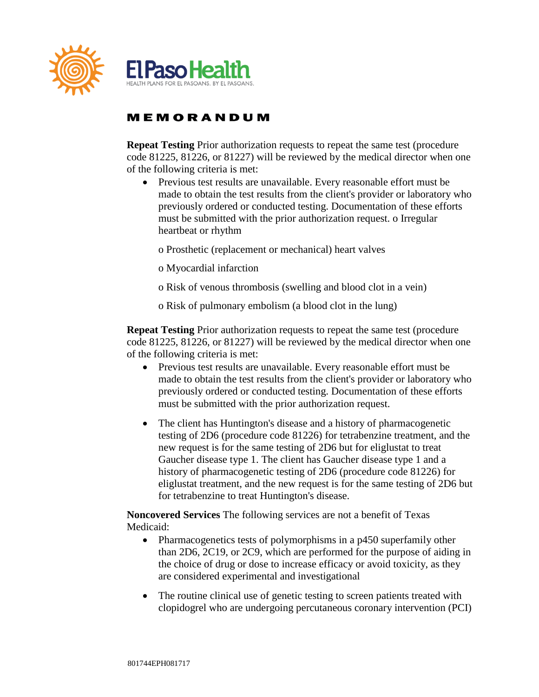

**Repeat Testing** Prior authorization requests to repeat the same test (procedure code 81225, 81226, or 81227) will be reviewed by the medical director when one of the following criteria is met:

 Previous test results are unavailable. Every reasonable effort must be made to obtain the test results from the client's provider or laboratory who previously ordered or conducted testing. Documentation of these efforts must be submitted with the prior authorization request. o Irregular heartbeat or rhythm

o Prosthetic (replacement or mechanical) heart valves

- o Myocardial infarction
- o Risk of venous thrombosis (swelling and blood clot in a vein)

o Risk of pulmonary embolism (a blood clot in the lung)

**Repeat Testing** Prior authorization requests to repeat the same test (procedure code 81225, 81226, or 81227) will be reviewed by the medical director when one of the following criteria is met:

- Previous test results are unavailable. Every reasonable effort must be made to obtain the test results from the client's provider or laboratory who previously ordered or conducted testing. Documentation of these efforts must be submitted with the prior authorization request.
- The client has Huntington's disease and a history of pharmacogenetic testing of 2D6 (procedure code 81226) for tetrabenzine treatment, and the new request is for the same testing of 2D6 but for eliglustat to treat Gaucher disease type 1. The client has Gaucher disease type 1 and a history of pharmacogenetic testing of 2D6 (procedure code 81226) for eliglustat treatment, and the new request is for the same testing of 2D6 but for tetrabenzine to treat Huntington's disease.

**Noncovered Services** The following services are not a benefit of Texas Medicaid:

- Pharmacogenetics tests of polymorphisms in a p450 superfamily other than 2D6, 2C19, or 2C9, which are performed for the purpose of aiding in the choice of drug or dose to increase efficacy or avoid toxicity, as they are considered experimental and investigational
- The routine clinical use of genetic testing to screen patients treated with clopidogrel who are undergoing percutaneous coronary intervention (PCI)